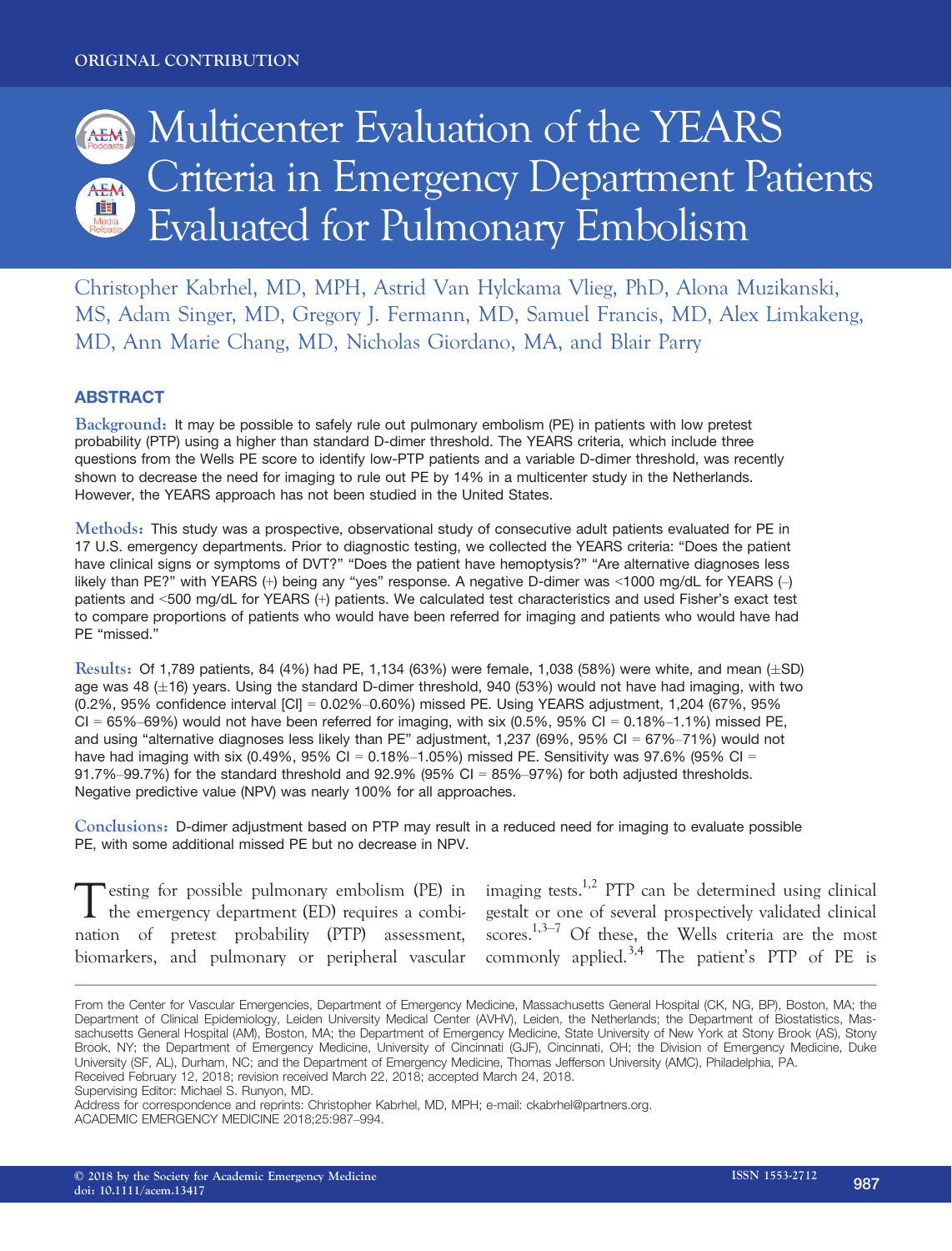

Christopher Kabrhel, MD, MPH, Astrid Van Hylckama Vlieg, PhD, Alona Muzikanski, MS, Adam Singer, MD, Gregory J. Fermann, MD, Samuel Francis, MD, Alex Limkakeng, MD, Ann Marie Chang, MD, Nicholas Giordano, MA, and Blair Parry

### **ABSTRACT**

Background: It may be possible to safely rule out pulmonary embolism (PE) in patients with low pretest probability (PTP) using a higher than standard D-dimer threshold. The YEARS criteria, which include three questions from the Wells PE score to identify low-PTP patients and a variable D-dimer threshold, was recently shown to decrease the need for imaging to rule out PE by 14% in a multicenter study in the Netherlands. However, the YEARS approach has not been studied in the United States.

Methods: This study was a prospective, observational study of consecutive adult patients evaluated for PE in 17 U.S. emergency departments. Prior to diagnostic testing, we collected the YEARS criteria: "Does the patient have clinical signs or symptoms of DVT?" "Does the patient have hemoptysis?" "Are alternative diagnoses less likely than PE?" with YEARS (+) being any "yes" response. A negative D-dimer was <1000 mg/dL for YEARS (–) patients and <500 mg/dL for YEARS (+) patients. We calculated test characteristics and used Fisher's exact test to compare proportions of patients who would have been referred for imaging and patients who would have had PE "missed."

Results: Of 1,789 patients, 84 (4%) had PE, 1,134 (63%) were female, 1,038 (58%) were white, and mean  $(\pm SD)$ age was 48  $(\pm 16)$  years. Using the standard D-dimer threshold, 940 (53%) would not have had imaging, with two (0.2%, 95% confidence interval [CI] = 0.02%–0.60%) missed PE. Using YEARS adjustment, 1,204 (67%, 95%  $CI = 65\% - 69\%$ ) would not have been referred for imaging, with six  $(0.5\%$ , 95%  $CI = 0.18\% - 1.1\%$ ) missed PE, and using "alternative diagnoses less likely than PE" adjustment, 1,237 (69%, 95% CI = 67%–71%) would not have had imaging with six (0.49%,  $95\%$  Cl = 0.18%-1.05%) missed PE. Sensitivity was 97.6% (95% Cl = 91.7%–99.7%) for the standard threshold and 92.9% (95% CI =  $85\%$ –97%) for both adjusted thresholds. Negative predictive value (NPV) was nearly 100% for all approaches.

Conclusions: D-dimer adjustment based on PTP may result in a reduced need for imaging to evaluate possible PE, with some additional missed PE but no decrease in NPV.

Testing for possible pulmonary embolism (PE) in the emergency department (ED) requires a combination of pretest probability (PTP) assessment, biomarkers, and pulmonary or peripheral vascular imaging tests.<sup>1,2</sup> PTP can be determined using clinical gestalt or one of several prospectively validated clinical scores.<sup>1,3–7</sup> Of these, the Wells criteria are the most commonly applied.<sup>3,4</sup> The patient's PTP of PE is

Supervising Editor: Michael S. Runyon, MD.

From the Center for Vascular Emergencies, Department of Emergency Medicine, Massachusetts General Hospital (CK, NG, BP), Boston, MA; the Department of Clinical Epidemiology, Leiden University Medical Center (AVHV), Leiden, the Netherlands; the Department of Biostatistics, Massachusetts General Hospital (AM), Boston, MA; the Department of Emergency Medicine, State University of New York at Stony Brook (AS), Stony Brook, NY; the Department of Emergency Medicine, University of Cincinnati (GJF), Cincinnati, OH; the Division of Emergency Medicine, Duke University (SF, AL), Durham, NC; and the Department of Emergency Medicine, Thomas Jefferson University (AMC), Philadelphia, PA. Received February 12, 2018; revision received March 22, 2018; accepted March 24, 2018.

Address for correspondence and reprints: Christopher Kabrhel, MD, MPH; e-mail: ckabrhel@partners.org. ACADEMIC EMERGENCY MEDICINE 2018;25:987–994.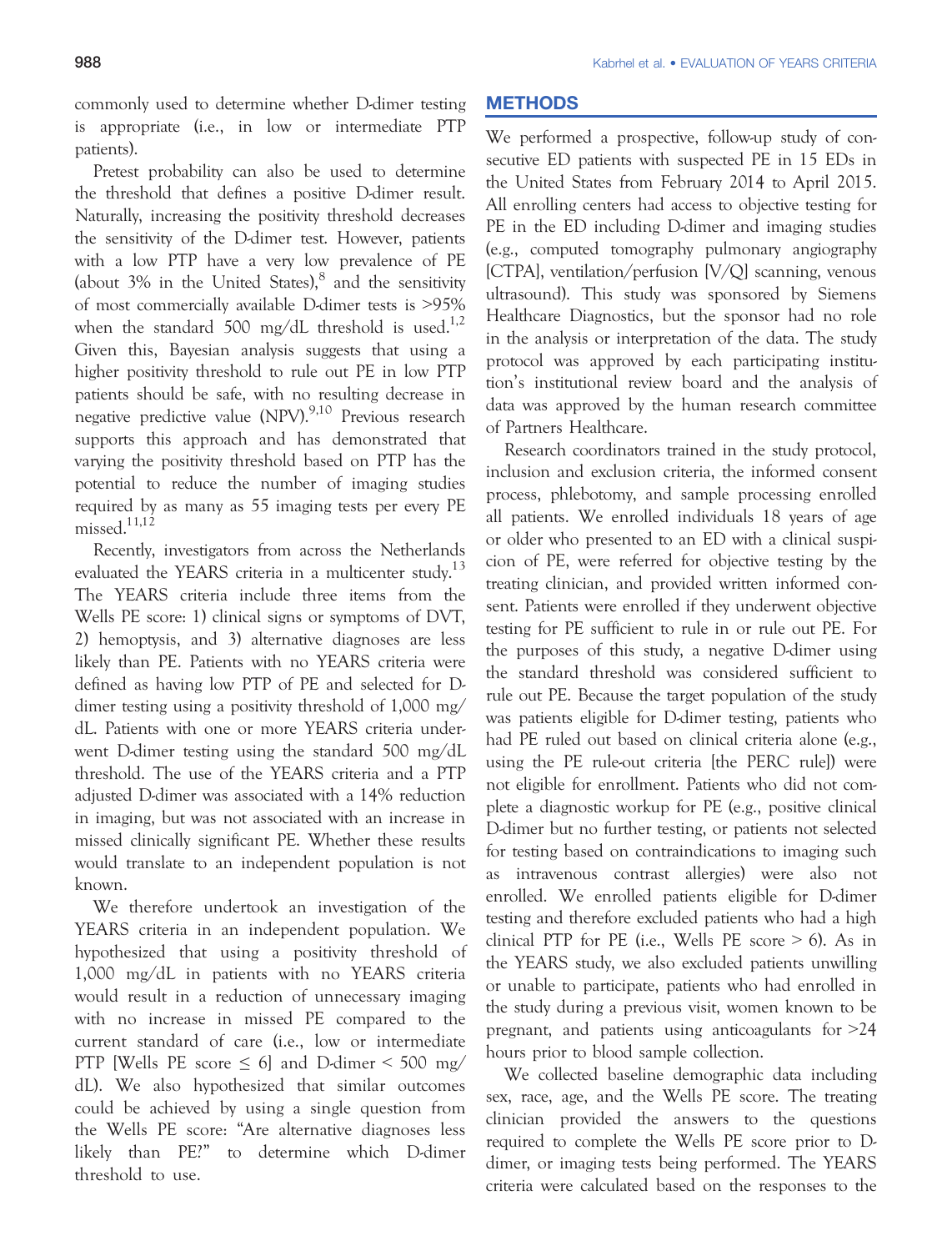commonly used to determine whether D-dimer testing is appropriate (i.e., in low or intermediate PTP patients).

Pretest probability can also be used to determine the threshold that defines a positive D-dimer result. Naturally, increasing the positivity threshold decreases the sensitivity of the D-dimer test. However, patients with a low PTP have a very low prevalence of PE (about  $3\%$  in the United States), $8$  and the sensitivity of most commercially available D-dimer tests is >95% when the standard 500 mg/dL threshold is used.<sup>1,2</sup> Given this, Bayesian analysis suggests that using a higher positivity threshold to rule out PE in low PTP patients should be safe, with no resulting decrease in negative predictive value (NPV).<sup>9,10</sup> Previous research supports this approach and has demonstrated that varying the positivity threshold based on PTP has the potential to reduce the number of imaging studies required by as many as 55 imaging tests per every PE missed. $11,12$ 

Recently, investigators from across the Netherlands evaluated the YEARS criteria in a multicenter study.<sup>13</sup> The YEARS criteria include three items from the Wells PE score: 1) clinical signs or symptoms of DVT, 2) hemoptysis, and 3) alternative diagnoses are less likely than PE. Patients with no YEARS criteria were defined as having low PTP of PE and selected for Ddimer testing using a positivity threshold of 1,000 mg/ dL. Patients with one or more YEARS criteria underwent D-dimer testing using the standard 500 mg/dL threshold. The use of the YEARS criteria and a PTP adjusted D-dimer was associated with a 14% reduction in imaging, but was not associated with an increase in missed clinically significant PE. Whether these results would translate to an independent population is not known.

We therefore undertook an investigation of the YEARS criteria in an independent population. We hypothesized that using a positivity threshold of 1,000 mg/dL in patients with no YEARS criteria would result in a reduction of unnecessary imaging with no increase in missed PE compared to the current standard of care (i.e., low or intermediate PTP [Wells PE score  $\leq 6$ ] and D-dimer  $\leq 500$  mg/ dL). We also hypothesized that similar outcomes could be achieved by using a single question from the Wells PE score: "Are alternative diagnoses less likely than PE?" to determine which D-dimer threshold to use.

# METHODS IN 1992

We performed a prospective, follow-up study of consecutive ED patients with suspected PE in 15 EDs in the United States from February 2014 to April 2015. All enrolling centers had access to objective testing for PE in the ED including D-dimer and imaging studies (e.g., computed tomography pulmonary angiography [CTPA], ventilation/perfusion [V/Q] scanning, venous ultrasound). This study was sponsored by Siemens Healthcare Diagnostics, but the sponsor had no role in the analysis or interpretation of the data. The study protocol was approved by each participating institution's institutional review board and the analysis of data was approved by the human research committee of Partners Healthcare.

Research coordinators trained in the study protocol, inclusion and exclusion criteria, the informed consent process, phlebotomy, and sample processing enrolled all patients. We enrolled individuals 18 years of age or older who presented to an ED with a clinical suspicion of PE, were referred for objective testing by the treating clinician, and provided written informed consent. Patients were enrolled if they underwent objective testing for PE sufficient to rule in or rule out PE. For the purposes of this study, a negative D-dimer using the standard threshold was considered sufficient to rule out PE. Because the target population of the study was patients eligible for D-dimer testing, patients who had PE ruled out based on clinical criteria alone (e.g., using the PE rule-out criteria [the PERC rule]) were not eligible for enrollment. Patients who did not complete a diagnostic workup for PE (e.g., positive clinical D-dimer but no further testing, or patients not selected for testing based on contraindications to imaging such as intravenous contrast allergies) were also not enrolled. We enrolled patients eligible for D-dimer testing and therefore excluded patients who had a high clinical PTP for PE (i.e., Wells PE score  $> 6$ ). As in the YEARS study, we also excluded patients unwilling or unable to participate, patients who had enrolled in the study during a previous visit, women known to be pregnant, and patients using anticoagulants for >24 hours prior to blood sample collection.

We collected baseline demographic data including sex, race, age, and the Wells PE score. The treating clinician provided the answers to the questions required to complete the Wells PE score prior to Ddimer, or imaging tests being performed. The YEARS criteria were calculated based on the responses to the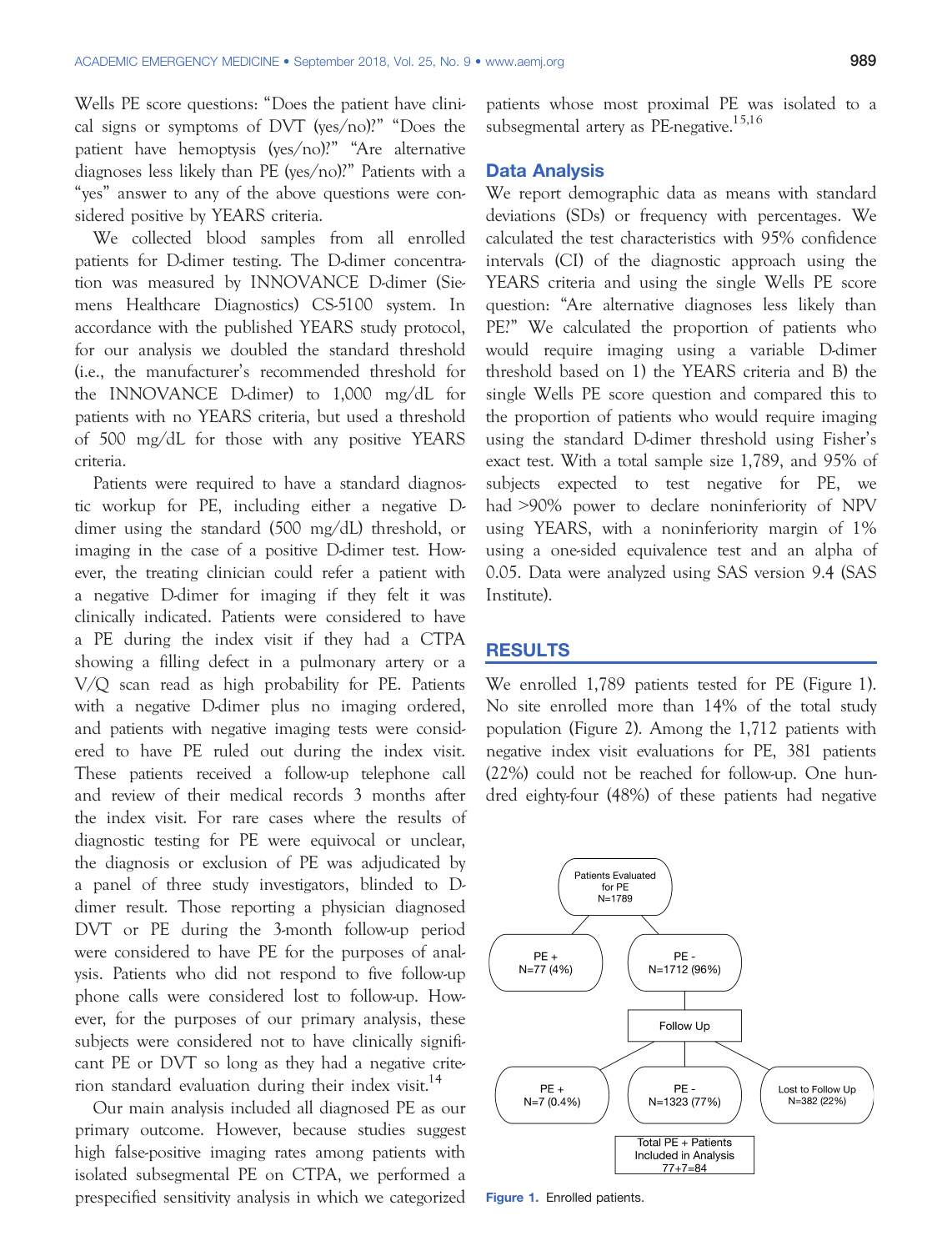Wells PE score questions: "Does the patient have clinical signs or symptoms of DVT (yes/no)?" "Does the patient have hemoptysis (yes/no)?" "Are alternative diagnoses less likely than PE (yes/no)?" Patients with a "yes" answer to any of the above questions were considered positive by YEARS criteria.

We collected blood samples from all enrolled patients for D-dimer testing. The D-dimer concentration was measured by INNOVANCE D-dimer (Siemens Healthcare Diagnostics) CS-5100 system. In accordance with the published YEARS study protocol, for our analysis we doubled the standard threshold (i.e., the manufacturer's recommended threshold for the INNOVANCE D-dimer) to 1,000 mg/dL for patients with no YEARS criteria, but used a threshold of 500 mg/dL for those with any positive YEARS criteria.

Patients were required to have a standard diagnostic workup for PE, including either a negative Ddimer using the standard (500 mg/dL) threshold, or imaging in the case of a positive D-dimer test. However, the treating clinician could refer a patient with a negative D-dimer for imaging if they felt it was clinically indicated. Patients were considered to have a PE during the index visit if they had a CTPA showing a filling defect in a pulmonary artery or a V/Q scan read as high probability for PE. Patients with a negative D-dimer plus no imaging ordered, and patients with negative imaging tests were considered to have PE ruled out during the index visit. These patients received a follow-up telephone call and review of their medical records 3 months after the index visit. For rare cases where the results of diagnostic testing for PE were equivocal or unclear, the diagnosis or exclusion of PE was adjudicated by a panel of three study investigators, blinded to Ddimer result. Those reporting a physician diagnosed DVT or PE during the 3-month follow-up period were considered to have PE for the purposes of analysis. Patients who did not respond to five follow-up phone calls were considered lost to follow-up. However, for the purposes of our primary analysis, these subjects were considered not to have clinically significant PE or DVT so long as they had a negative criterion standard evaluation during their index visit.<sup>14</sup>

Our main analysis included all diagnosed PE as our primary outcome. However, because studies suggest high false-positive imaging rates among patients with isolated subsegmental PE on CTPA, we performed a prespecified sensitivity analysis in which we categorized patients whose most proximal PE was isolated to a subsegmental artery as PE-negative.<sup>15,16</sup>

We report demographic data as means with standard deviations (SDs) or frequency with percentages. We calculated the test characteristics with 95% confidence intervals (CI) of the diagnostic approach using the YEARS criteria and using the single Wells PE score question: "Are alternative diagnoses less likely than PE?" We calculated the proportion of patients who would require imaging using a variable D-dimer threshold based on 1) the YEARS criteria and B) the single Wells PE score question and compared this to the proportion of patients who would require imaging using the standard D-dimer threshold using Fisher's exact test. With a total sample size 1,789, and 95% of subjects expected to test negative for PE, we had >90% power to declare noninferiority of NPV using YEARS, with a noninferiority margin of 1% using a one-sided equivalence test and an alpha of 0.05. Data were analyzed using SAS version 9.4 (SAS Institute).

### **RESULTS** <u>results in the second second</u>

We enrolled 1,789 patients tested for PE (Figure 1). No site enrolled more than 14% of the total study population (Figure 2). Among the 1,712 patients with negative index visit evaluations for PE, 381 patients (22%) could not be reached for follow-up. One hundred eighty-four (48%) of these patients had negative



Figure 1. Enrolled patients.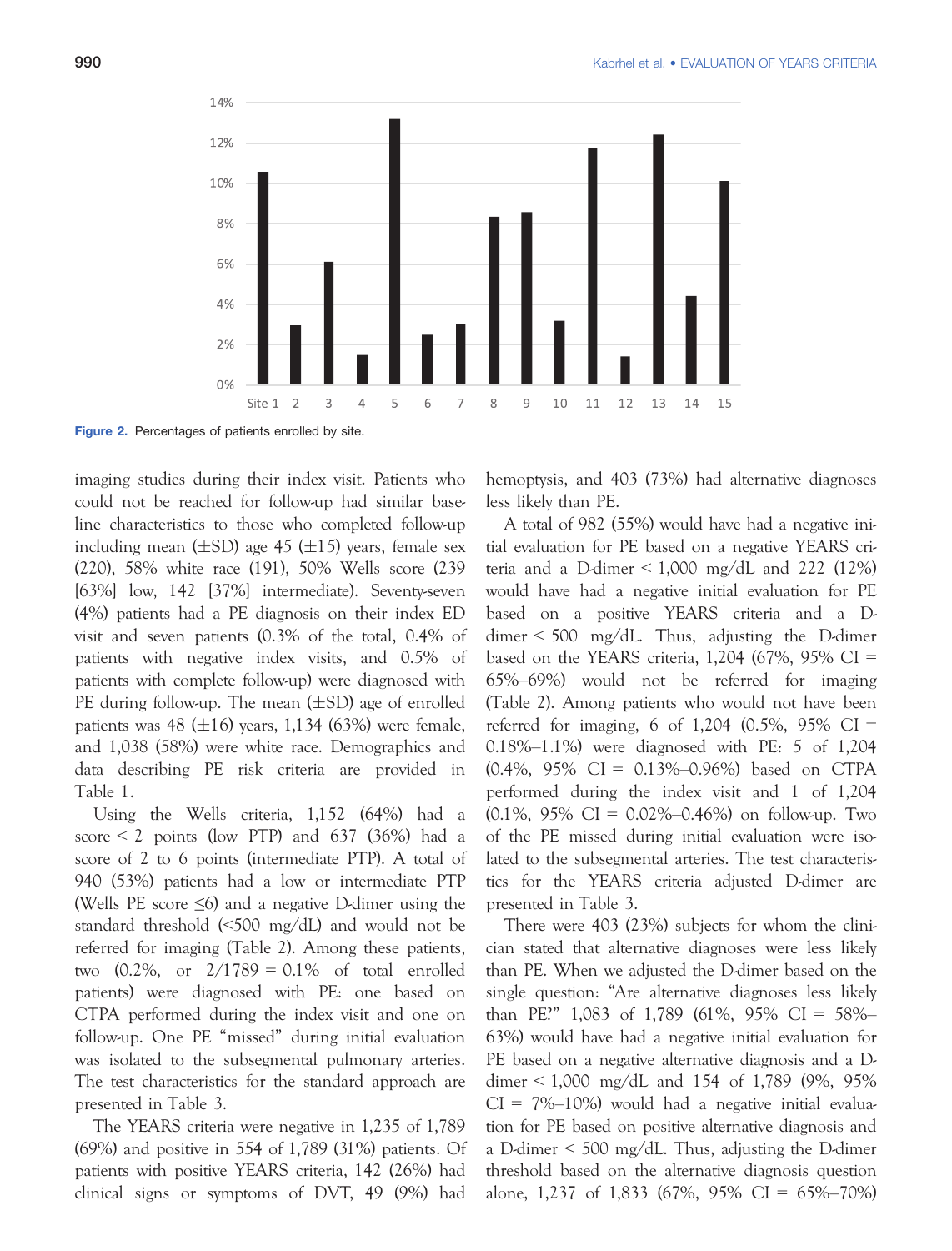

Figure 2. Percentages of patients enrolled by site.

imaging studies during their index visit. Patients who could not be reached for follow-up had similar baseline characteristics to those who completed follow-up including mean ( $\pm$ SD) age 45 ( $\pm$ 15) years, female sex (220), 58% white race (191), 50% Wells score (239 [63%] low, 142 [37%] intermediate). Seventy-seven (4%) patients had a PE diagnosis on their index ED visit and seven patients (0.3% of the total, 0.4% of patients with negative index visits, and 0.5% of patients with complete follow-up) were diagnosed with PE during follow-up. The mean  $(\pm SD)$  age of enrolled patients was 48 ( $\pm 16$ ) years, 1,134 (63%) were female, and 1,038 (58%) were white race. Demographics and data describing PE risk criteria are provided in Table 1.

Using the Wells criteria, 1,152 (64%) had a score  $\leq$  2 points (low PTP) and 637 (36%) had a score of 2 to 6 points (intermediate PTP). A total of 940 (53%) patients had a low or intermediate PTP (Wells PE score  $\leq 6$ ) and a negative D-dimer using the standard threshold (<500 mg/dL) and would not be referred for imaging (Table 2). Among these patients, two  $(0.2\%$ , or  $2/1789 = 0.1\%$  of total enrolled patients) were diagnosed with PE: one based on CTPA performed during the index visit and one on follow-up. One PE "missed" during initial evaluation was isolated to the subsegmental pulmonary arteries. The test characteristics for the standard approach are presented in Table 3.

The YEARS criteria were negative in 1,235 of 1,789 (69%) and positive in 554 of 1,789 (31%) patients. Of patients with positive YEARS criteria, 142 (26%) had clinical signs or symptoms of DVT, 49 (9%) had hemoptysis, and 403 (73%) had alternative diagnoses less likely than PE.

A total of 982 (55%) would have had a negative initial evaluation for PE based on a negative YEARS criteria and a D-dimer  $\leq 1,000$  mg/dL and 222 (12%) would have had a negative initial evaluation for PE based on a positive YEARS criteria and a Ddimer < 500 mg/dL. Thus, adjusting the D-dimer based on the YEARS criteria,  $1,204$  (67%, 95% CI = 65%–69%) would not be referred for imaging (Table 2). Among patients who would not have been referred for imaging, 6 of 1,204  $(0.5\%, 95\% \text{ CI} =$ 0.18%–1.1%) were diagnosed with PE: 5 of 1,204 (0.4%, 95% CI = 0.13%–0.96%) based on CTPA performed during the index visit and 1 of 1,204  $(0.1\%, 95\% \text{ CI} = 0.02\% - 0.46\%)$  on follow-up. Two of the PE missed during initial evaluation were isolated to the subsegmental arteries. The test characteristics for the YEARS criteria adjusted D-dimer are presented in Table 3.

There were 403 (23%) subjects for whom the clinician stated that alternative diagnoses were less likely than PE. When we adjusted the D-dimer based on the single question: "Are alternative diagnoses less likely than PE?" 1,083 of 1,789 (61%, 95% CI = 58%– 63%) would have had a negative initial evaluation for PE based on a negative alternative diagnosis and a Ddimer < 1,000 mg/dL and 154 of 1,789 (9%, 95%  $CI = 7\% - 10\%$  would had a negative initial evaluation for PE based on positive alternative diagnosis and a D-dimer < 500 mg/dL. Thus, adjusting the D-dimer threshold based on the alternative diagnosis question alone, 1,237 of 1,833 (67%, 95% CI = 65%–70%)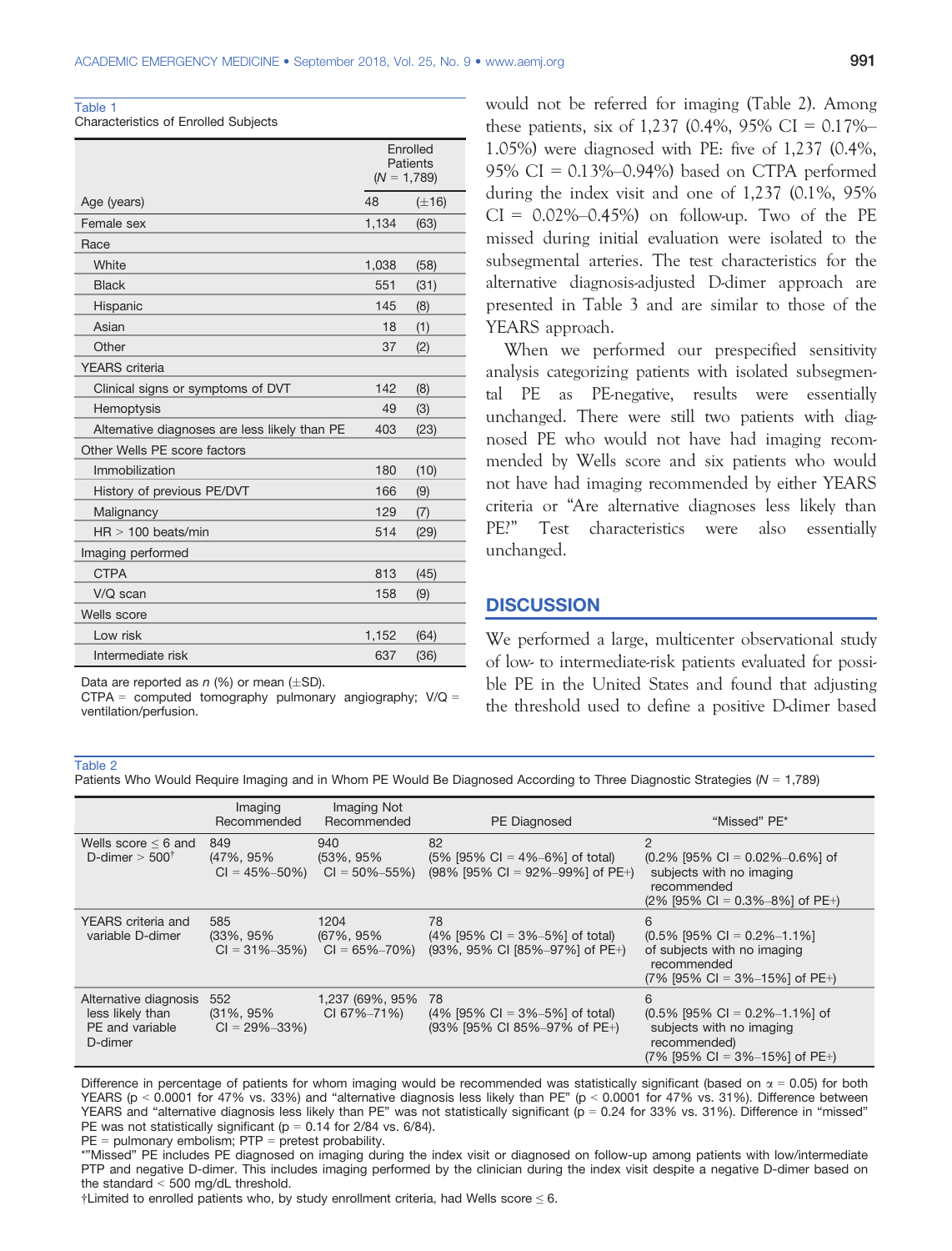| Table 1                                     |  |
|---------------------------------------------|--|
| <b>Characteristics of Enrolled Subjects</b> |  |

|                                               | Enrolled<br>Patients<br>$(N = 1,789)$ |            |
|-----------------------------------------------|---------------------------------------|------------|
| Age (years)                                   | 48                                    | $(\pm 16)$ |
| Female sex                                    | 1,134                                 | (63)       |
| Race                                          |                                       |            |
| White                                         | 1,038                                 | (58)       |
| <b>Black</b>                                  | 551                                   | (31)       |
| Hispanic                                      | 145                                   | (8)        |
| Asian                                         | 18                                    | (1)        |
| Other                                         | 37                                    | (2)        |
| <b>YEARS</b> criteria                         |                                       |            |
| Clinical signs or symptoms of DVT             | 142                                   | (8)        |
| Hemoptysis                                    | 49                                    | (3)        |
| Alternative diagnoses are less likely than PE | 403                                   | (23)       |
| Other Wells PE score factors                  |                                       |            |
| Immobilization                                | 180                                   | (10)       |
| History of previous PE/DVT                    | 166                                   | (9)        |
| Malignancy                                    | 129                                   | (7)        |
| $HR > 100$ beats/min                          | 514                                   | (29)       |
| Imaging performed                             |                                       |            |
| <b>CTPA</b>                                   | 813                                   | (45)       |
| V/Q scan                                      | 158                                   | (9)        |
| Wells score                                   |                                       |            |
| Low risk                                      | 1,152                                 | (64)       |
| Intermediate risk                             | 637                                   | (36)       |

Data are reported as  $n$  (%) or mean ( $\pm$ SD).

 $CTPA = computed tomography$  pulmonary angiography;  $V/Q =$ ventilation/perfusion.

would not be referred for imaging (Table 2). Among these patients, six of 1,237 (0.4%, 95% CI =  $0.17\%$ -1.05%) were diagnosed with PE: five of 1,237 (0.4%, 95% CI = 0.13%–0.94%) based on CTPA performed during the index visit and one of 1,237 (0.1%, 95%  $CI = 0.02\% - 0.45\%$  on follow-up. Two of the PE missed during initial evaluation were isolated to the subsegmental arteries. The test characteristics for the alternative diagnosis-adjusted D-dimer approach are presented in Table 3 and are similar to those of the YEARS approach.

When we performed our prespecified sensitivity analysis categorizing patients with isolated subsegmental PE as PE-negative, results were essentially unchanged. There were still two patients with diagnosed PE who would not have had imaging recommended by Wells score and six patients who would not have had imaging recommended by either YEARS criteria or "Are alternative diagnoses less likely than PE?" Test characteristics were also essentially unchanged.

### <u>Discussion in discussion</u>

We performed a large, multicenter observational study of low- to intermediate-risk patients evaluated for possible PE in the United States and found that adjusting the threshold used to define a positive D-dimer based

#### Table 2

Patients Who Would Require Imaging and in Whom PE Would Be Diagnosed According to Three Diagnostic Strategies ( $N = 1,789$ )

|                                                                             | Imaging<br>Recommended                      | Imaging Not<br>Recommended               | <b>PE</b> Diagnosed                                                           | "Missed" PE*                                                                                                                        |
|-----------------------------------------------------------------------------|---------------------------------------------|------------------------------------------|-------------------------------------------------------------------------------|-------------------------------------------------------------------------------------------------------------------------------------|
| Wells score $\leq 6$ and<br>D-dimer $>$ 500 <sup><math>\dagger</math></sup> | 849<br>(47%, 95%)<br>$CI = 45\% - 50\%$     | 940<br>(53%, 95%)<br>$CI = 50\% - 55\%$  | 82<br>$(5\%$ [95% CI = 4%-6%] of total)<br>$(98\%$ [95% CI = 92%-99%] of PE+) | $\overline{2}$<br>$(0.2\%$ [95% CI = 0.02%-0.6%] of<br>subjects with no imaging<br>recommended<br>$(2\%$ [95% CI = 0.3%-8%] of PE+) |
| YEARS criteria and<br>variable D-dimer                                      | 585<br>$(33\%, 95\%)$<br>$CI = 31\% - 35\%$ | 1204<br>(67%, 95%)<br>$CI = 65\% - 70\%$ | 78<br>$(4\%$ [95% CI = 3%-5%] of total)<br>(93%, 95% CI [85%-97%] of PE+)     | 6<br>$(0.5\%$ [95% CI = 0.2%-1.1%]<br>of subjects with no imaging<br>recommended<br>$(7\%$ [95% CI = 3%-15%] of PE+)                |
| Alternative diagnosis<br>less likely than<br>PE and variable<br>D-dimer     | 552<br>$(31\%, 95\%)$<br>$CI = 29\% - 33\%$ | 1,237 (69%, 95%<br>CI 67%-71%)           | 78<br>$(4\%$ [95% CI = 3%-5%] of total)<br>(93% [95% CI 85%-97% of PE+)       | 6<br>$(0.5\%$ [95% CI = 0.2%-1.1%] of<br>subjects with no imaging<br>recommended)<br>$(7\%$ [95% CI = 3%-15%] of PE+)               |

Difference in percentage of patients for whom imaging would be recommended was statistically significant (based on  $\alpha$  = 0.05) for both YEARS (p < 0.0001 for 47% vs. 33%) and "alternative diagnosis less likely than PE" (p < 0.0001 for 47% vs. 31%). Difference between YEARS and "alternative diagnosis less likely than PE" was not statistically significant ( $p = 0.24$  for 33% vs. 31%). Difference in "missed" PE was not statistically significant ( $p = 0.14$  for 2/84 vs. 6/84).

 $PE =$  pulmonary embolism;  $PTP =$  pretest probability.

\*"Missed" PE includes PE diagnosed on imaging during the index visit or diagnosed on follow-up among patients with low/intermediate PTP and negative D-dimer. This includes imaging performed by the clinician during the index visit despite a negative D-dimer based on the standard < 500 mg/dL threshold.

 $\dagger$ Limited to enrolled patients who, by study enrollment criteria, had Wells score  $\leq$  6.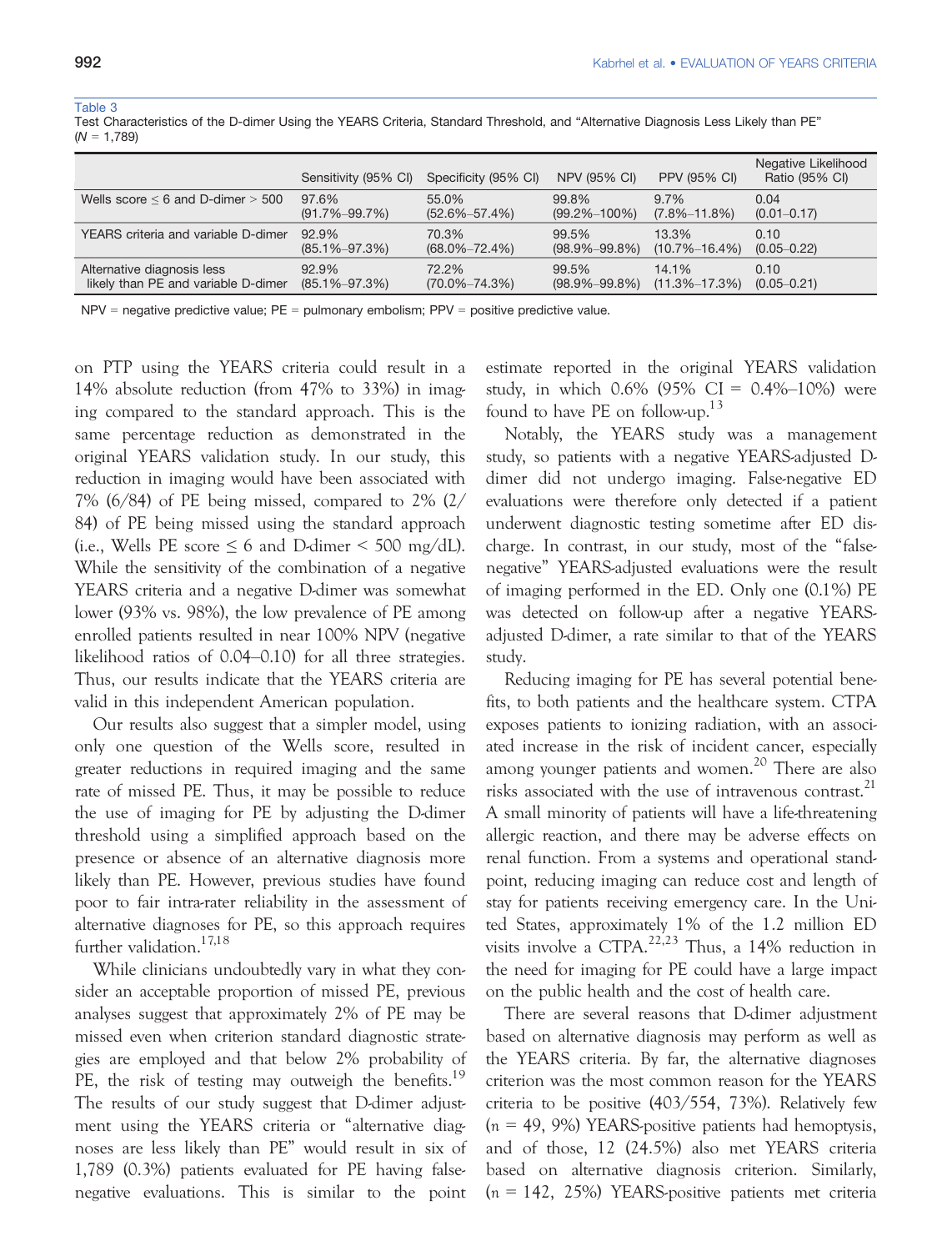#### Table 3

| Test Characteristics of the D-dimer Using the YEARS Criteria, Standard Threshold, and "Alternative Diagnosis Less Likely than PE" |  |  |  |
|-----------------------------------------------------------------------------------------------------------------------------------|--|--|--|
| $(N = 1,789)$                                                                                                                     |  |  |  |

|                                          | Sensitivity (95% CI) | Specificity (95% CI) | <b>NPV (95% CI)</b> | <b>PPV (95% CI)</b> | Negative Likelihood<br>Ratio (95% CI) |
|------------------------------------------|----------------------|----------------------|---------------------|---------------------|---------------------------------------|
| Wells score $\leq 6$ and D-dimer $> 500$ | 97.6%                | $55.0\%$             | 99.8%               | $9.7\%$             | 0.04                                  |
|                                          | $(91.7\% - 99.7\%)$  | $(52.6\% - 57.4\%)$  | $(99.2\% - 100\%)$  | $(7.8\% - 11.8\%)$  | $(0.01 - 0.17)$                       |
| YEARS criteria and variable D-dimer      | 92.9%                | 70.3%                | 99.5%               | 13.3%               | 0.10                                  |
|                                          | $(85.1\% - 97.3\%)$  | $(68.0\% - 72.4\%)$  | $(98.9\% - 99.8\%)$ | $(10.7\% - 16.4\%)$ | $(0.05 - 0.22)$                       |
| Alternative diagnosis less               | 92.9%                | 72.2%                | 99.5%               | 14.1%               | 0.10                                  |
| likely than PE and variable D-dimer      | $(85.1\% - 97.3\%)$  | $(70.0\% - 74.3\%)$  | $(98.9\% - 99.8\%)$ | $(11.3\% - 17.3\%)$ | $(0.05 - 0.21)$                       |

 $NPV$  = negative predictive value;  $PE$  = pulmonary embolism;  $PPV$  = positive predictive value.

on PTP using the YEARS criteria could result in a 14% absolute reduction (from 47% to 33%) in imaging compared to the standard approach. This is the same percentage reduction as demonstrated in the original YEARS validation study. In our study, this reduction in imaging would have been associated with 7% (6/84) of PE being missed, compared to 2% (2/ 84) of PE being missed using the standard approach (i.e., Wells PE score  $\leq 6$  and D-dimer  $\leq 500$  mg/dL). While the sensitivity of the combination of a negative YEARS criteria and a negative D-dimer was somewhat lower (93% vs. 98%), the low prevalence of PE among enrolled patients resulted in near 100% NPV (negative likelihood ratios of 0.04–0.10) for all three strategies. Thus, our results indicate that the YEARS criteria are valid in this independent American population.

Our results also suggest that a simpler model, using only one question of the Wells score, resulted in greater reductions in required imaging and the same rate of missed PE. Thus, it may be possible to reduce the use of imaging for PE by adjusting the D-dimer threshold using a simplified approach based on the presence or absence of an alternative diagnosis more likely than PE. However, previous studies have found poor to fair intra-rater reliability in the assessment of alternative diagnoses for PE, so this approach requires further validation.<sup>17,18</sup>

While clinicians undoubtedly vary in what they consider an acceptable proportion of missed PE, previous analyses suggest that approximately 2% of PE may be missed even when criterion standard diagnostic strategies are employed and that below 2% probability of PE, the risk of testing may outweigh the benefits.<sup>19</sup> The results of our study suggest that D-dimer adjustment using the YEARS criteria or "alternative diagnoses are less likely than PE" would result in six of 1,789 (0.3%) patients evaluated for PE having falsenegative evaluations. This is similar to the point

estimate reported in the original YEARS validation study, in which  $0.6\%$  (95% CI = 0.4%–10%) were found to have PE on follow-up.<sup>13</sup>

Notably, the YEARS study was a management study, so patients with a negative YEARS-adjusted Ddimer did not undergo imaging. False-negative ED evaluations were therefore only detected if a patient underwent diagnostic testing sometime after ED discharge. In contrast, in our study, most of the "falsenegative" YEARS-adjusted evaluations were the result of imaging performed in the ED. Only one (0.1%) PE was detected on follow-up after a negative YEARSadjusted D-dimer, a rate similar to that of the YEARS study.

Reducing imaging for PE has several potential benefits, to both patients and the healthcare system. CTPA exposes patients to ionizing radiation, with an associated increase in the risk of incident cancer, especially among younger patients and women.<sup>20</sup> There are also risks associated with the use of intravenous contrast.<sup>21</sup> A small minority of patients will have a life-threatening allergic reaction, and there may be adverse effects on renal function. From a systems and operational standpoint, reducing imaging can reduce cost and length of stay for patients receiving emergency care. In the United States, approximately 1% of the 1.2 million ED visits involve a CTPA.22,23 Thus, a 14% reduction in the need for imaging for PE could have a large impact on the public health and the cost of health care.

There are several reasons that D-dimer adjustment based on alternative diagnosis may perform as well as the YEARS criteria. By far, the alternative diagnoses criterion was the most common reason for the YEARS criteria to be positive (403/554, 73%). Relatively few  $(n = 49, 9\%)$  YEARS-positive patients had hemoptysis, and of those, 12 (24.5%) also met YEARS criteria based on alternative diagnosis criterion. Similarly,  $(n = 142, 25\%)$  YEARS-positive patients met criteria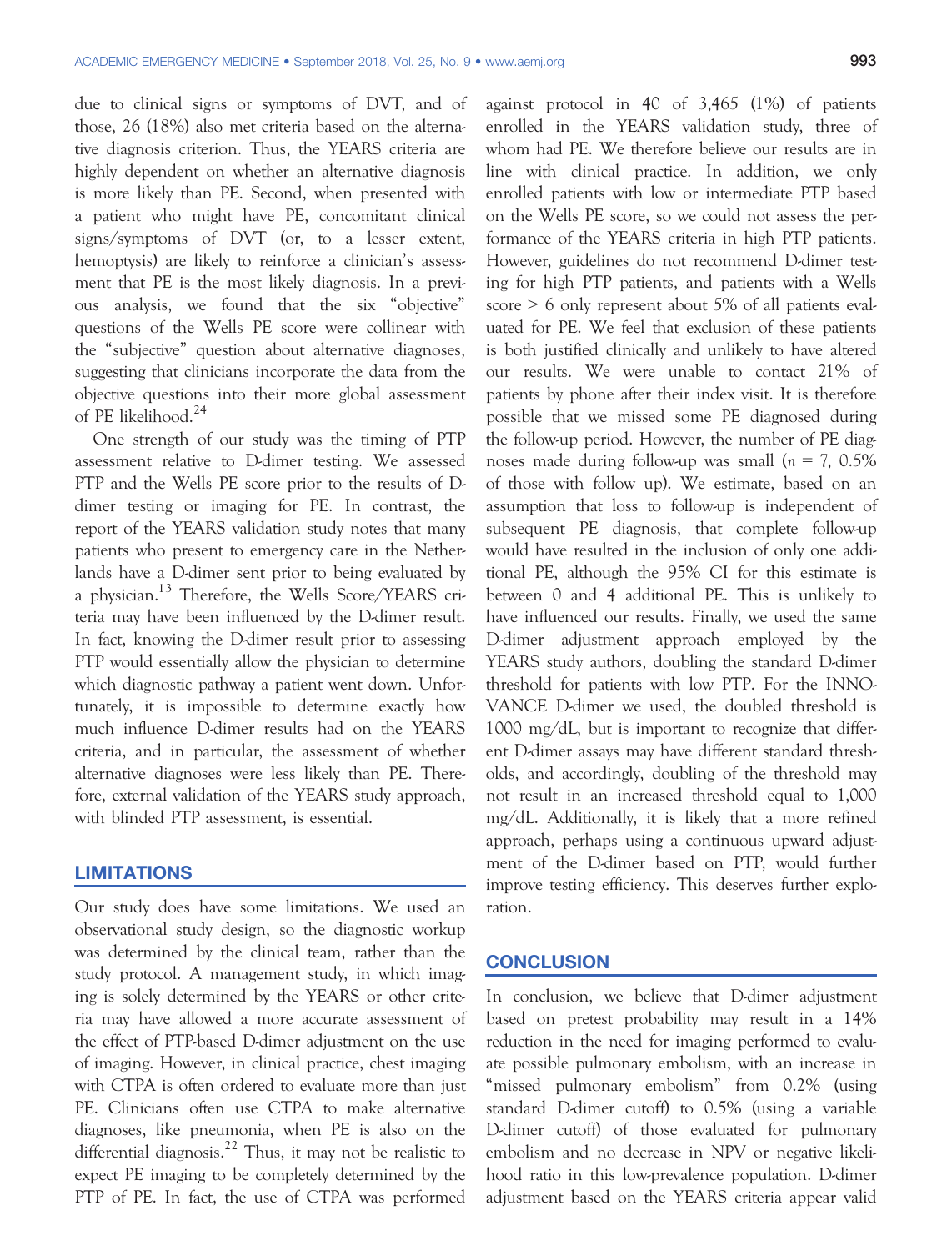due to clinical signs or symptoms of DVT, and of those, 26 (18%) also met criteria based on the alternative diagnosis criterion. Thus, the YEARS criteria are highly dependent on whether an alternative diagnosis is more likely than PE. Second, when presented with a patient who might have PE, concomitant clinical signs/symptoms of DVT (or, to a lesser extent, hemoptysis) are likely to reinforce a clinician's assessment that PE is the most likely diagnosis. In a previous analysis, we found that the six "objective" questions of the Wells PE score were collinear with the "subjective" question about alternative diagnoses, suggesting that clinicians incorporate the data from the objective questions into their more global assessment of PE likelihood.<sup>24</sup>

One strength of our study was the timing of PTP assessment relative to D-dimer testing. We assessed PTP and the Wells PE score prior to the results of Ddimer testing or imaging for PE. In contrast, the report of the YEARS validation study notes that many patients who present to emergency care in the Netherlands have a D-dimer sent prior to being evaluated by a physician.<sup>13</sup> Therefore, the Wells Score/YEARS criteria may have been influenced by the D-dimer result. In fact, knowing the D-dimer result prior to assessing PTP would essentially allow the physician to determine which diagnostic pathway a patient went down. Unfortunately, it is impossible to determine exactly how much influence D-dimer results had on the YEARS criteria, and in particular, the assessment of whether alternative diagnoses were less likely than PE. Therefore, external validation of the YEARS study approach, with blinded PTP assessment, is essential.

### LIMITATIONS

Our study does have some limitations. We used an observational study design, so the diagnostic workup was determined by the clinical team, rather than the study protocol. A management study, in which imaging is solely determined by the YEARS or other criteria may have allowed a more accurate assessment of the effect of PTP-based D-dimer adjustment on the use of imaging. However, in clinical practice, chest imaging with CTPA is often ordered to evaluate more than just PE. Clinicians often use CTPA to make alternative diagnoses, like pneumonia, when PE is also on the differential diagnosis.<sup>22</sup> Thus, it may not be realistic to expect PE imaging to be completely determined by the PTP of PE. In fact, the use of CTPA was performed

against protocol in 40 of 3,465 (1%) of patients enrolled in the YEARS validation study, three of whom had PE. We therefore believe our results are in line with clinical practice. In addition, we only enrolled patients with low or intermediate PTP based on the Wells PE score, so we could not assess the performance of the YEARS criteria in high PTP patients. However, guidelines do not recommend D-dimer testing for high PTP patients, and patients with a Wells score > 6 only represent about 5% of all patients evaluated for PE. We feel that exclusion of these patients is both justified clinically and unlikely to have altered our results. We were unable to contact 21% of patients by phone after their index visit. It is therefore possible that we missed some PE diagnosed during the follow-up period. However, the number of PE diagnoses made during follow-up was small  $(n = 7, 0.5\%)$ of those with follow up). We estimate, based on an assumption that loss to follow-up is independent of subsequent PE diagnosis, that complete follow-up would have resulted in the inclusion of only one additional PE, although the 95% CI for this estimate is between 0 and 4 additional PE. This is unlikely to have influenced our results. Finally, we used the same D-dimer adjustment approach employed by the YEARS study authors, doubling the standard D-dimer threshold for patients with low PTP. For the INNO-VANCE D-dimer we used, the doubled threshold is 1000 mg/dL, but is important to recognize that different D-dimer assays may have different standard thresholds, and accordingly, doubling of the threshold may not result in an increased threshold equal to 1,000 mg/dL. Additionally, it is likely that a more refined approach, perhaps using a continuous upward adjustment of the D-dimer based on PTP, would further improve testing efficiency. This deserves further exploration.

# <u>Concert Concert Conc</u>

In conclusion, we believe that D-dimer adjustment based on pretest probability may result in a 14% reduction in the need for imaging performed to evaluate possible pulmonary embolism, with an increase in "missed pulmonary embolism" from 0.2% (using standard D-dimer cutoff) to 0.5% (using a variable D-dimer cutoff) of those evaluated for pulmonary embolism and no decrease in NPV or negative likelihood ratio in this low-prevalence population. D-dimer adjustment based on the YEARS criteria appear valid